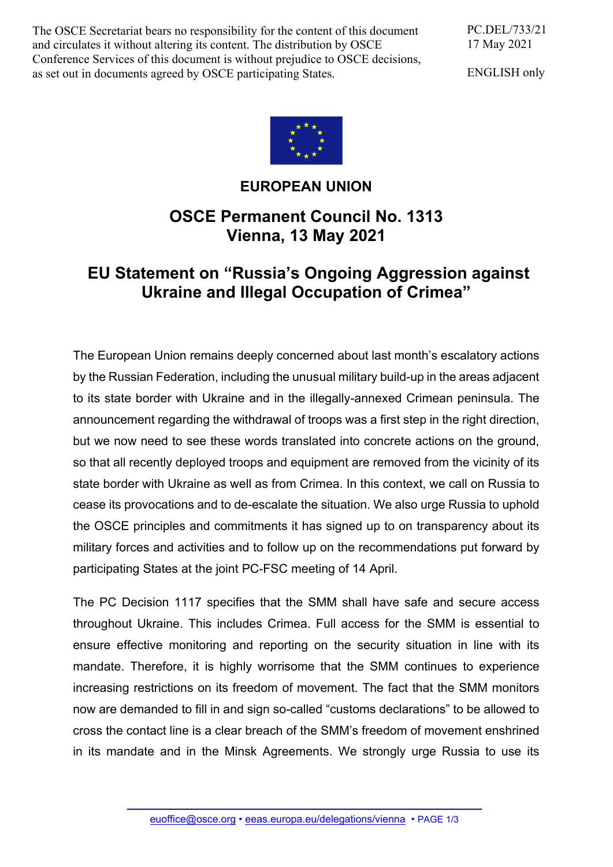The OSCE Secretariat bears no responsibility for the content of this document and circulates it without altering its content. The distribution by OSCE Conference Services of this document is without prejudice to OSCE decisions, as set out in documents agreed by OSCE participating States.

PC.DEL/733/21 17 May 2021

ENGLISH only



## **EUROPEAN UNION**

## **OSCE Permanent Council No. 1313 Vienna, 13 May 2021**

## **EU Statement on "Russia's Ongoing Aggression against Ukraine and Illegal Occupation of Crimea"**

The European Union remains deeply concerned about last month's escalatory actions by the Russian Federation, including the unusual military build-up in the areas adjacent to its state border with Ukraine and in the illegally-annexed Crimean peninsula. The announcement regarding the withdrawal of troops was a first step in the right direction, but we now need to see these words translated into concrete actions on the ground, so that all recently deployed troops and equipment are removed from the vicinity of its state border with Ukraine as well as from Crimea. In this context, we call on Russia to cease its provocations and to de-escalate the situation. We also urge Russia to uphold the OSCE principles and commitments it has signed up to on transparency about its military forces and activities and to follow up on the recommendations put forward by participating States at the joint PC-FSC meeting of 14 April.

The PC Decision 1117 specifies that the SMM shall have safe and secure access throughout Ukraine. This includes Crimea. Full access for the SMM is essential to ensure effective monitoring and reporting on the security situation in line with its mandate. Therefore, it is highly worrisome that the SMM continues to experience increasing restrictions on its freedom of movement. The fact that the SMM monitors now are demanded to fill in and sign so-called "customs declarations" to be allowed to cross the contact line is a clear breach of the SMM's freedom of movement enshrined in its mandate and in the Minsk Agreements. We strongly urge Russia to use its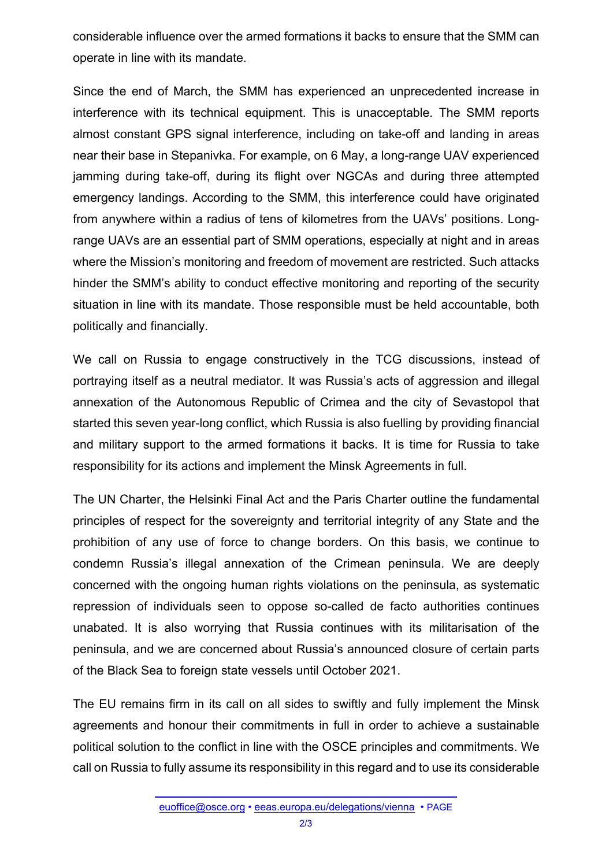considerable influence over the armed formations it backs to ensure that the SMM can operate in line with its mandate.

Since the end of March, the SMM has experienced an unprecedented increase in interference with its technical equipment. This is unacceptable. The SMM reports almost constant GPS signal interference, including on take-off and landing in areas near their base in Stepanivka. For example, on 6 May, a long-range UAV experienced jamming during take-off, during its flight over NGCAs and during three attempted emergency landings. According to the SMM, this interference could have originated from anywhere within a radius of tens of kilometres from the UAVs' positions. Longrange UAVs are an essential part of SMM operations, especially at night and in areas where the Mission's monitoring and freedom of movement are restricted. Such attacks hinder the SMM's ability to conduct effective monitoring and reporting of the security situation in line with its mandate. Those responsible must be held accountable, both politically and financially.

We call on Russia to engage constructively in the TCG discussions, instead of portraying itself as a neutral mediator. It was Russia's acts of aggression and illegal annexation of the Autonomous Republic of Crimea and the city of Sevastopol that started this seven year-long conflict, which Russia is also fuelling by providing financial and military support to the armed formations it backs. It is time for Russia to take responsibility for its actions and implement the Minsk Agreements in full.

The UN Charter, the Helsinki Final Act and the Paris Charter outline the fundamental principles of respect for the sovereignty and territorial integrity of any State and the prohibition of any use of force to change borders. On this basis, we continue to condemn Russia's illegal annexation of the Crimean peninsula. We are deeply concerned with the ongoing human rights violations on the peninsula, as systematic repression of individuals seen to oppose so-called de facto authorities continues unabated. It is also worrying that Russia continues with its militarisation of the peninsula, and we are concerned about Russia's announced closure of certain parts of the Black Sea to foreign state vessels until October 2021.

The EU remains firm in its call on all sides to swiftly and fully implement the Minsk agreements and honour their commitments in full in order to achieve a sustainable political solution to the conflict in line with the OSCE principles and commitments. We call on Russia to fully assume its responsibility in this regard and to use its considerable